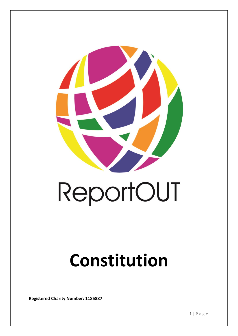

# ReportOUT

# **Constitution**

**Registered Charity Number: 1185887**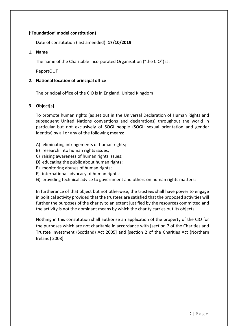# **('Foundation' model constitution)**

Date of constitution (last amended): **17/10/2019**

#### **1. Name**

The name of the Charitable Incorporated Organisation ("the CIO") is:

ReportOUT

# **2. National location of principal office**

The principal office of the CIO is in England, United Kingdom

# **3. Object[s]**

To promote human rights (as set out in the Universal Declaration of Human Rights and subsequent United Nations conventions and declarations) throughout the world in particular but not exclusively of SOGI people (SOGI: sexual orientation and gender identity) by all or any of the following means:

- A) eliminating infringements of human rights;
- B) research into human rights issues;
- C) raising awareness of human rights issues;
- D) educating the public about human rights;
- E) monitoring abuses of human rights;
- F) international advocacy of human rights;
- G) providing technical advice to government and others on human rights matters;

In furtherance of that object but not otherwise, the trustees shall have power to engage in political activity provided that the trustees are satisfied that the proposed activities will further the purposes of the charity to an extent justified by the resources committed and the activity is not the dominant means by which the charity carries out its objects.

Nothing in this constitution shall authorise an application of the property of the CIO for the purposes which are not charitable in accordance with [section 7 of the Charities and Trustee Investment (Scotland) Act 2005] and [section 2 of the Charities Act (Northern Ireland) 2008]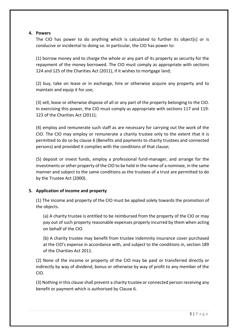# **4. Powers**

The CIO has power to do anything which is calculated to further its object[s] or is conducive or incidental to doing so. In particular, the CIO has power to:

(1) borrow money and to charge the whole or any part of its property as security for the repayment of the money borrowed. The CIO must comply as appropriate with sections 124 and 125 of the Charities Act (2011), if it wishes to mortgage land;

(2) buy, take on lease or in exchange, hire or otherwise acquire any property and to maintain and equip it for use:

(3) sell, lease or otherwise dispose of all or any part of the property belonging to the CIO. In exercising this power, the CIO must comply as appropriate with sections 117 and 119- 123 of the Charities Act (2011);

(4) employ and remunerate such staff as are necessary for carrying out the work of the CIO. The CIO may employ or remunerate a charity trustee only to the extent that it is permitted to do so by clause 6 (Benefits and payments to charity trustees and connected persons) and provided it complies with the conditions of that clause;

(5) deposit or invest funds, employ a professional fund-manager, and arrange for the investments or other property of the CIO to be held in the name of a nominee, in the same manner and subject to the same conditions as the trustees of a trust are permitted to do by the Trustee Act (2000).

# **5. Application of income and property**

(1) The income and property of the CIO must be applied solely towards the promotion of the objects.

(a) A charity trustee is entitled to be reimbursed from the property of the CIO or may pay out of such property reasonable expenses properly incurred by them when acting on behalf of the CIO.

(b) A charity trustee may benefit from trustee indemnity insurance cover purchased at the CIO's expense in accordance with, and subject to the conditions in, section 189 of the Charities Act 2011.

(2) None of the income or property of the CIO may be paid or transferred directly or indirectly by way of dividend, bonus or otherwise by way of profit to any member of the CIO.

(3) Nothing in this clause shall prevent a charity trustee or connected person receiving any benefit or payment which is authorised by Clause 6.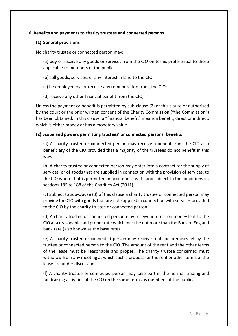# **6. Benefits and payments to charity trustees and connected persons**

# **(1) General provisions**

No charity trustee or connected person may:

(a) buy or receive any goods or services from the CIO on terms preferential to those applicable to members of the public;

- (b) sell goods, services, or any interest in land to the CIO;
- (c) be employed by, or receive any remuneration from, the CIO;
- (d) receive any other financial benefit from the CIO;

Unless the payment or benefit is permitted by sub-clause (2) of this clause or authorised by the court or the prior written consent of the Charity Commission ("the Commission") has been obtained. In this clause, a "financial benefit" means a benefit, direct or indirect, which is either money or has a monetary value.

# **(2) Scope and powers permitting trustees' or connected persons' benefits**

(a) A charity trustee or connected person may receive a benefit from the CIO as a beneficiary of the CIO provided that a majority of the trustees do not benefit in this way.

(b) A charity trustee or connected person may enter into a contract for the supply of services, or of goods that are supplied in connection with the provision of services, to the CIO where that is permitted in accordance with, and subject to the conditions in, sections 185 to 188 of the Charities Act (2011).

(c) Subject to sub-clause (3) of this clause a charity trustee or connected person may provide the CIO with goods that are not supplied in connection with services provided to the CIO by the charity trustee or connected person.

(d) A charity trustee or connected person may receive interest on money lent to the CIO at a reasonable and proper rate which must be not more than the Bank of England bank rate (also known as the base rate).

(e) A charity trustee or connected person may receive rent for premises let by the trustee or connected person to the CIO. The amount of the rent and the other terms of the lease must be reasonable and proper. The charity trustee concerned must withdraw from any meeting at which such a proposal or the rent or other terms of the lease are under discussion.

(f) A charity trustee or connected person may take part in the normal trading and fundraising activities of the CIO on the same terms as members of the public.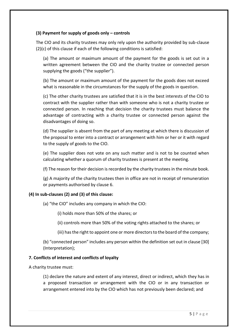# **(3) Payment for supply of goods only – controls**

The CIO and its charity trustees may only rely upon the authority provided by sub-clause (2)(c) of this clause if each of the following conditions is satisfied:

(a) The amount or maximum amount of the payment for the goods is set out in a written agreement between the CIO and the charity trustee or connected person supplying the goods ("the supplier").

(b) The amount or maximum amount of the payment for the goods does not exceed what is reasonable in the circumstances for the supply of the goods in question.

(c) The other charity trustees are satisfied that it is in the best interests of the CIO to contract with the supplier rather than with someone who is not a charity trustee or connected person. In reaching that decision the charity trustees must balance the advantage of contracting with a charity trustee or connected person against the disadvantages of doing so.

(d) The supplier is absent from the part of any meeting at which there is discussion of the proposal to enter into a contract or arrangement with him or her or it with regard to the supply of goods to the CIO.

(e) The supplier does not vote on any such matter and is not to be counted when calculating whether a quorum of charity trustees is present at the meeting.

(f) The reason for their decision is recorded by the charity trustees in the minute book.

(g) A majority of the charity trustees then in office are not in receipt of remuneration or payments authorised by clause 6.

# **(4) In sub-clauses (2) and (3) of this clause:**

(a) "the CIO" includes any company in which the CIO:

(i) holds more than 50% of the shares; or

(ii) controls more than 50% of the voting rights attached to the shares; or

(iii) has the right to appoint one or more directors to the board of the company;

(b) "connected person" includes any person within the definition set out in clause [30] (Interpretation);

# **7. Conflicts of interest and conflicts of loyalty**

A charity trustee must:

(1) declare the nature and extent of any interest, direct or indirect, which they has in a proposed transaction or arrangement with the CIO or in any transaction or arrangement entered into by the CIO which has not previously been declared; and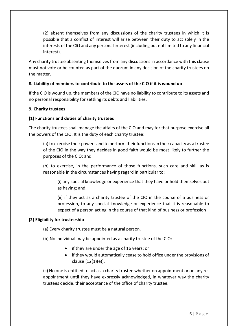(2) absent themselves from any discussions of the charity trustees in which it is possible that a conflict of interest will arise between their duty to act solely in the interests of the CIO and any personal interest (including but not limited to any financial interest).

Any charity trustee absenting themselves from any discussions in accordance with this clause must not vote or be counted as part of the quorum in any decision of the charity trustees on the matter.

# **8. Liability of members to contribute to the assets of the CIO if it is wound up**

If the CIO is wound up, the members of the CIO have no liability to contribute to its assets and no personal responsibility for settling its debts and liabilities.

# **9. Charity trustees**

# **(1) Functions and duties of charity trustees**

The charity trustees shall manage the affairs of the CIO and may for that purpose exercise all the powers of the CIO. It is the duty of each charity trustee:

(a) to exercise their powers and to perform their functions in their capacity as a trustee of the CIO in the way they decides in good faith would be most likely to further the purposes of the CIO; and

(b) to exercise, in the performance of those functions, such care and skill as is reasonable in the circumstances having regard in particular to:

(i) any special knowledge or experience that they have or hold themselves out as having; and,

(ii) if they act as a charity trustee of the CIO in the course of a business or profession, to any special knowledge or experience that it is reasonable to expect of a person acting in the course of that kind of business or profession

# **(2) Eligibility for trusteeship**

(a) Every charity trustee must be a natural person.

(b) No individual may be appointed as a charity trustee of the CIO:

- if they are under the age of 16 years; or
- if they would automatically cease to hold office under the provisions of clause [12(1)(e)].

(c) No one is entitled to act as a charity trustee whether on appointment or on any reappointment until they have expressly acknowledged, in whatever way the charity trustees decide, their acceptance of the office of charity trustee.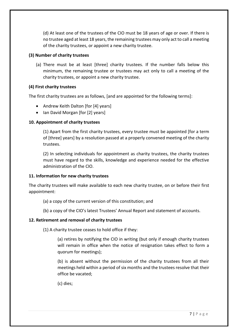(d) At least one of the trustees of the CIO must be 18 years of age or over. If there is no trustee aged at least 18 years, the remaining trustees may only act to call a meeting of the charity trustees, or appoint a new charity trustee.

# **(3) Number of charity trustees**

(a) There must be at least [three] charity trustees. If the number falls below this minimum, the remaining trustee or trustees may act only to call a meeting of the charity trustees, or appoint a new charity trustee.

# **(4) First charity trustees**

The first charity trustees are as follows, [and are appointed for the following terms]:

- Andrew Keith Dalton [for [4] years]
- Ian David Morgan [for [2] years]

# **10. Appointment of charity trustees**

(1) Apart from the first charity trustees, every trustee must be appointed [for a term of [three] years] by a resolution passed at a properly convened meeting of the charity trustees.

(2) In selecting individuals for appointment as charity trustees, the charity trustees must have regard to the skills, knowledge and experience needed for the effective administration of the CIO.

# **11. Information for new charity trustees**

The charity trustees will make available to each new charity trustee, on or before their first appointment:

- (a) a copy of the current version of this constitution; and
- (b) a copy of the CIO's latest Trustees' Annual Report and statement of accounts.

# **12. Retirement and removal of charity trustees**

(1) A charity trustee ceases to hold office if they:

(a) retires by notifying the CIO in writing (but only if enough charity trustees will remain in office when the notice of resignation takes effect to form a quorum for meetings);

(b) is absent without the permission of the charity trustees from all their meetings held within a period of six months and the trustees resolve that their office be vacated;

(c) dies;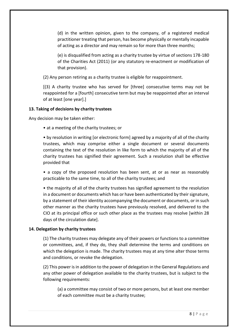(d) in the written opinion, given to the company, of a registered medical practitioner treating that person, has become physically or mentally incapable of acting as a director and may remain so for more than three months;

(e) is disqualified from acting as a charity trustee by virtue of sections 178-180 of the Charities Act (2011) (or any statutory re-enactment or modification of that provision).

(2) Any person retiring as a charity trustee is eligible for reappointment.

[(3) A charity trustee who has served for [three] consecutive terms may not be reappointed for a [fourth] consecutive term but may be reappointed after an interval of at least [one year].]

# **13. Taking of decisions by charity trustees**

Any decision may be taken either:

• at a meeting of the charity trustees; or

• by resolution in writing [or electronic form] agreed by a majority of all of the charity trustees, which may comprise either a single document or several documents containing the text of the resolution in like form to which the majority of all of the charity trustees has signified their agreement. Such a resolution shall be effective provided that

• a copy of the proposed resolution has been sent, at or as near as reasonably practicable to the same time, to all of the charity trustees; and

• the majority of all of the charity trustees has signified agreement to the resolution in a document or documents which has or have been authenticated by their signature, by a statement of their identity accompanying the document or documents, or in such other manner as the charity trustees have previously resolved, and delivered to the CIO at its principal office or such other place as the trustees may resolve [within 28 days of the circulation date].

#### **14. Delegation by charity trustees**

(1) The charity trustees may delegate any of their powers or functions to a committee or committees, and, if they do, they shall determine the terms and conditions on which the delegation is made. The charity trustees may at any time alter those terms and conditions, or revoke the delegation.

(2) This power is in addition to the power of delegation in the General Regulations and any other power of delegation available to the charity trustees, but is subject to the following requirements:

(a) a committee may consist of two or more persons, but at least one member of each committee must be a charity trustee;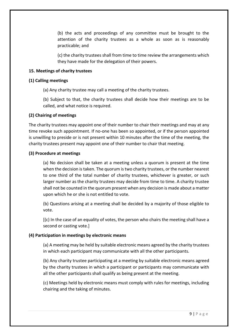(b) the acts and proceedings of any committee must be brought to the attention of the charity trustees as a whole as soon as is reasonably practicable; and

(c) the charity trustees shall from time to time review the arrangements which they have made for the delegation of their powers.

# **15. Meetings of charity trustees**

#### **(1) Calling meetings**

(a) Any charity trustee may call a meeting of the charity trustees.

(b) Subject to that, the charity trustees shall decide how their meetings are to be called, and what notice is required.

#### **(2) Chairing of meetings**

The charity trustees may appoint one of their number to chair their meetings and may at any time revoke such appointment. If no-one has been so appointed, or if the person appointed is unwilling to preside or is not present within 10 minutes after the time of the meeting, the charity trustees present may appoint one of their number to chair that meeting.

#### **(3) Procedure at meetings**

(a) No decision shall be taken at a meeting unless a quorum is present at the time when the decision is taken. The quorum is two charity trustees, or the number nearest to one third of the total number of charity trustees, whichever is greater, or such larger number as the charity trustees may decide from time to time. A charity trustee shall not be counted in the quorum present when any decision is made about a matter upon which he or she is not entitled to vote.

(b) Questions arising at a meeting shall be decided by a majority of those eligible to vote.

[(c) In the case of an equality of votes, the person who chairs the meeting shall have a second or casting vote.]

#### **(4) Participation in meetings by electronic means**

(a) A meeting may be held by suitable electronic means agreed by the charity trustees in which each participant may communicate with all the other participants.

(b) Any charity trustee participating at a meeting by suitable electronic means agreed by the charity trustees in which a participant or participants may communicate with all the other participants shall qualify as being present at the meeting.

(c) Meetings held by electronic means must comply with rules for meetings, including chairing and the taking of minutes.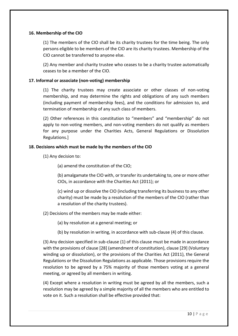# **16. Membership of the CIO**

(1) The members of the CIO shall be its charity trustees for the time being. The only persons eligible to be members of the CIO are its charity trustees. Membership of the CIO cannot be transferred to anyone else.

(2) Any member and charity trustee who ceases to be a charity trustee automatically ceases to be a member of the CIO.

# **17. Informal or associate (non-voting) membership**

(1) The charity trustees may create associate or other classes of non-voting membership, and may determine the rights and obligations of any such members (including payment of membership fees), and the conditions for admission to, and termination of membership of any such class of members.

(2) Other references in this constitution to "members" and "membership" do not apply to non-voting members, and non-voting members do not qualify as members for any purpose under the Charities Acts, General Regulations or Dissolution Regulations.]

# **18. Decisions which must be made by the members of the CIO**

(1) Any decision to:

(a) amend the constitution of the CIO;

(b) amalgamate the CIO with, or transfer its undertaking to, one or more other CIOs, in accordance with the Charities Act (2011); or

(c) wind up or dissolve the CIO (including transferring its business to any other charity) must be made by a resolution of the members of the CIO (rather than a resolution of the charity trustees).

(2) Decisions of the members may be made either:

(a) by resolution at a general meeting; or

(b) by resolution in writing, in accordance with sub-clause (4) of this clause.

(3) Any decision specified in sub-clause (1) of this clause must be made in accordance with the provisions of clause [28] (amendment of constitution), clause [29] (Voluntary winding up or dissolution), or the provisions of the Charities Act (2011), the General Regulations or the Dissolution Regulations as applicable. Those provisions require the resolution to be agreed by a 75% majority of those members voting at a general meeting, or agreed by all members in writing.

(4) Except where a resolution in writing must be agreed by all the members, such a resolution may be agreed by a simple majority of all the members who are entitled to vote on it. Such a resolution shall be effective provided that: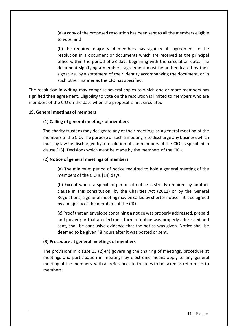(a) a copy of the proposed resolution has been sent to all the members eligible to vote; and

(b) the required majority of members has signified its agreement to the resolution in a document or documents which are received at the principal office within the period of 28 days beginning with the circulation date. The document signifying a member's agreement must be authenticated by their signature, by a statement of their identity accompanying the document, or in such other manner as the CIO has specified.

The resolution in writing may comprise several copies to which one or more members has signified their agreement. Eligibility to vote on the resolution is limited to members who are members of the CIO on the date when the proposal is first circulated.

# **19. General meetings of members**

# **(1) Calling of general meetings of members**

The charity trustees may designate any of their meetings as a general meeting of the members of the CIO. The purpose of such a meeting is to discharge any business which must by law be discharged by a resolution of the members of the CIO as specified in clause [18] (Decisions which must be made by the members of the CIO).

# **(2) Notice of general meetings of members**

(a) The minimum period of notice required to hold a general meeting of the members of the CIO is [14] days.

(b) Except where a specified period of notice is strictly required by another clause in this constitution, by the Charities Act (2011) or by the General Regulations, a general meeting may be called by shorter notice if it is so agreed by a majority of the members of the CIO.

(c) Proof that an envelope containing a notice was properly addressed, prepaid and posted; or that an electronic form of notice was properly addressed and sent, shall be conclusive evidence that the notice was given. Notice shall be deemed to be given 48 hours after it was posted or sent.

#### **(3) Procedure at general meetings of members**

The provisions in clause 15 (2)-(4) governing the chairing of meetings, procedure at meetings and participation in meetings by electronic means apply to any general meeting of the members, with all references to trustees to be taken as references to members.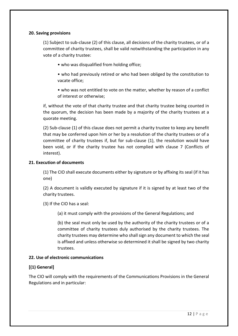#### **20. Saving provisions**

(1) Subject to sub-clause (2) of this clause, all decisions of the charity trustees, or of a committee of charity trustees, shall be valid notwithstanding the participation in any vote of a charity trustee:

• who was disqualified from holding office:

• who had previously retired or who had been obliged by the constitution to vacate office;

• who was not entitled to vote on the matter, whether by reason of a conflict of interest or otherwise;

if, without the vote of that charity trustee and that charity trustee being counted in the quorum, the decision has been made by a majority of the charity trustees at a quorate meeting.

(2) Sub-clause (1) of this clause does not permit a charity trustee to keep any benefit that may be conferred upon him or her by a resolution of the charity trustees or of a committee of charity trustees if, but for sub-clause (1), the resolution would have been void, or if the charity trustee has not complied with clause 7 (Conflicts of interest).

# **21. Execution of documents**

(1) The CIO shall execute documents either by signature or by affixing its seal (if it has one)

(2) A document is validly executed by signature if it is signed by at least two of the charity trustees.

(3) If the CIO has a seal:

(a) it must comply with the provisions of the General Regulations; and

(b) the seal must only be used by the authority of the charity trustees or of a committee of charity trustees duly authorised by the charity trustees. The charity trustees may determine who shall sign any document to which the seal is affixed and unless otherwise so determined it shall be signed by two charity trustees.

# **22. Use of electronic communications**

# **[(1) General]**

The CIO will comply with the requirements of the Communications Provisions in the General Regulations and in particular: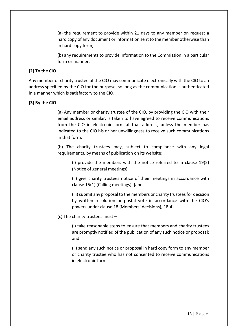(a) the requirement to provide within 21 days to any member on request a hard copy of any document or information sent to the member otherwise than in hard copy form;

(b) any requirements to provide information to the Commission in a particular form or manner.

# **(2) To the CIO**

Any member or charity trustee of the CIO may communicate electronically with the CIO to an address specified by the CIO for the purpose, so long as the communication is authenticated in a manner which is satisfactory to the CIO.

# **(3) By the CIO**

(a) Any member or charity trustee of the CIO, by providing the CIO with their email address or similar, is taken to have agreed to receive communications from the CIO in electronic form at that address, unless the member has indicated to the CIO his or her unwillingness to receive such communications in that form.

(b) The charity trustees may, subject to compliance with any legal requirements, by means of publication on its website:

(i) provide the members with the notice referred to in clause 19(2) (Notice of general meetings);

(ii) give charity trustees notice of their meetings in accordance with clause 15(1) (Calling meetings); [and

(iii) submit any proposal to the members or charity trustees for decision by written resolution or postal vote in accordance with the CIO's powers under clause 18 (Members' decisions), 18(4)

(c) The charity trustees must –

(i) take reasonable steps to ensure that members and charity trustees are promptly notified of the publication of any such notice or proposal; and

(ii) send any such notice or proposal in hard copy form to any member or charity trustee who has not consented to receive communications in electronic form.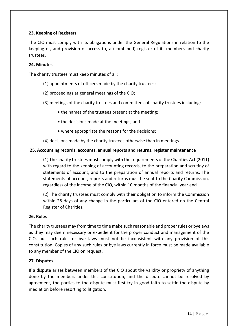# **23. Keeping of Registers**

The CIO must comply with its obligations under the General Regulations in relation to the keeping of, and provision of access to, a (combined) register of its members and charity trustees.

# **24. Minutes**

The charity trustees must keep minutes of all:

- (1) appointments of officers made by the charity trustees;
- (2) proceedings at general meetings of the CIO;
- (3) meetings of the charity trustees and committees of charity trustees including:
	- the names of the trustees present at the meeting;
	- the decisions made at the meetings; and
	- where appropriate the reasons for the decisions;
- (4) decisions made by the charity trustees otherwise than in meetings.

# **25. Accounting records, accounts, annual reports and returns, register maintenance**

(1) The charity trustees must comply with the requirements of the Charities Act (2011) with regard to the keeping of accounting records, to the preparation and scrutiny of statements of account, and to the preparation of annual reports and returns. The statements of account, reports and returns must be sent to the Charity Commission, regardless of the income of the CIO, within 10 months of the financial year end.

(2) The charity trustees must comply with their obligation to inform the Commission within 28 days of any change in the particulars of the CIO entered on the Central Register of Charities.

#### **26. Rules**

The charity trustees may from time to time make such reasonable and proper rules or byelaws as they may deem necessary or expedient for the proper conduct and management of the CIO, but such rules or bye laws must not be inconsistent with any provision of this constitution. Copies of any such rules or bye laws currently in force must be made available to any member of the CIO on request.

#### **27. Disputes**

If a dispute arises between members of the CIO about the validity or propriety of anything done by the members under this constitution, and the dispute cannot be resolved by agreement, the parties to the dispute must first try in good faith to settle the dispute by mediation before resorting to litigation.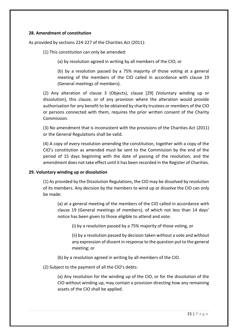#### **28. Amendment of constitution**

As provided by sections 224-227 of the Charities Act (2011):

(1) This constitution can only be amended:

(a) by resolution agreed in writing by all members of the CIO; or

(b) by a resolution passed by a 75% majority of those voting at a general meeting of the members of the CIO called in accordance with clause 19 (General meetings of members).

(2) Any alteration of clause 3 (Objects), clause [29] (Voluntary winding up or dissolution), this clause, or of any provision where the alteration would provide authorisation for any benefit to be obtained by charity trustees or members of the CIO or persons connected with them, requires the prior written consent of the Charity Commission.

(3) No amendment that is inconsistent with the provisions of the Charities Act (2011) or the General Regulations shall be valid.

(4) A copy of every resolution amending the constitution, together with a copy of the CIO's constitution as amended must be sent to the Commission by the end of the period of 15 days beginning with the date of passing of the resolution, and the amendment does not take effect until it has been recorded in the Register of Charities.

# **29. Voluntary winding up or dissolution**

(1) As provided by the Dissolution Regulations, the CIO may be dissolved by resolution of its members. Any decision by the members to wind up or dissolve the CIO can only be made:

(a) at a general meeting of the members of the CIO called in accordance with clause 19 (General meetings of members), of which not less than 14 days' notice has been given to those eligible to attend and vote:

(i) by a resolution passed by a 75% majority of those voting, or

(ii) by a resolution passed by decision taken without a vote and without any expression of dissent in response to the question put to the general meeting; or

(b) by a resolution agreed in writing by all members of the CIO.

(2) Subject to the payment of all the CIO's debts:

(a) Any resolution for the winding up of the CIO, or for the dissolution of the CIO without winding up, may contain a provision directing how any remaining assets of the CIO shall be applied.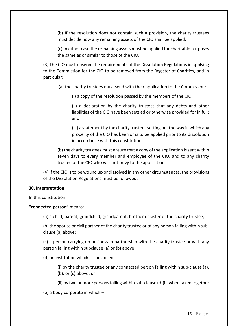(b) If the resolution does not contain such a provision, the charity trustees must decide how any remaining assets of the CIO shall be applied.

(c) In either case the remaining assets must be applied for charitable purposes the same as or similar to those of the CIO.

(3) The CIO must observe the requirements of the Dissolution Regulations in applying to the Commission for the CIO to be removed from the Register of Charities, and in particular:

(a) the charity trustees must send with their application to the Commission:

(i) a copy of the resolution passed by the members of the CIO;

(ii) a declaration by the charity trustees that any debts and other liabilities of the CIO have been settled or otherwise provided for in full; and

(iii) a statement by the charity trustees setting out the way in which any property of the CIO has been or is to be applied prior to its dissolution in accordance with this constitution;

(b) the charity trustees must ensure that a copy of the application is sent within seven days to every member and employee of the CIO, and to any charity trustee of the CIO who was not privy to the application.

(4) If the CIO is to be wound up or dissolved in any other circumstances, the provisions of the Dissolution Regulations must be followed.

#### **30. Interpretation**

In this constitution:

#### **"connected person"** means:

(a) a child, parent, grandchild, grandparent, brother or sister of the charity trustee;

(b) the spouse or civil partner of the charity trustee or of any person falling within subclause (a) above;

(c) a person carrying on business in partnership with the charity trustee or with any person falling within subclause (a) or (b) above;

(d) an institution which is controlled –

(i) by the charity trustee or any connected person falling within sub-clause (a), (b), or (c) above; or

(ii) by two or more persons falling within sub-clause  $(d)(i)$ , when taken together

(e) a body corporate in which –